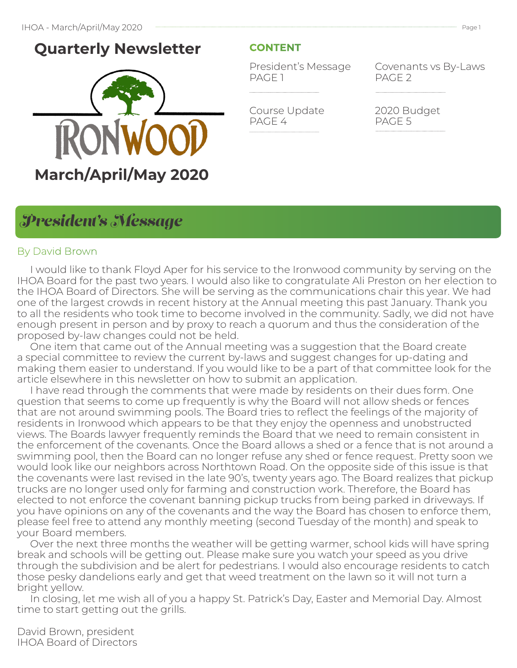## **Quarterly Newsletter**



### **CONTENT**

President's Message PAGE 1

Covenants vs By-Laws PAGE 2

Course Update PAGE 4

2020 Budget PAGE 5

### *President's Message*

### By David Brown

 I would like to thank Floyd Aper for his service to the Ironwood community by serving on the IHOA Board for the past two years. I would also like to congratulate Ali Preston on her election to the IHOA Board of Directors. She will be serving as the communications chair this year. We had one of the largest crowds in recent history at the Annual meeting this past January. Thank you to all the residents who took time to become involved in the community. Sadly, we did not have enough present in person and by proxy to reach a quorum and thus the consideration of the proposed by-law changes could not be held.

 One item that came out of the Annual meeting was a suggestion that the Board create a special committee to review the current by-laws and suggest changes for up-dating and making them easier to understand. If you would like to be a part of that committee look for the article elsewhere in this newsletter on how to submit an application.

 I have read through the comments that were made by residents on their dues form. One question that seems to come up frequently is why the Board will not allow sheds or fences that are not around swimming pools. The Board tries to reflect the feelings of the majority of residents in Ironwood which appears to be that they enjoy the openness and unobstructed views. The Boards lawyer frequently reminds the Board that we need to remain consistent in the enforcement of the covenants. Once the Board allows a shed or a fence that is not around a swimming pool, then the Board can no longer refuse any shed or fence request. Pretty soon we would look like our neighbors across Northtown Road. On the opposite side of this issue is that the covenants were last revised in the late 90's, twenty years ago. The Board realizes that pickup trucks are no longer used only for farming and construction work. Therefore, the Board has elected to not enforce the covenant banning pickup trucks from being parked in driveways. If you have opinions on any of the covenants and the way the Board has chosen to enforce them, please feel free to attend any monthly meeting (second Tuesday of the month) and speak to your Board members.

 Over the next three months the weather will be getting warmer, school kids will have spring break and schools will be getting out. Please make sure you watch your speed as you drive through the subdivision and be alert for pedestrians. I would also encourage residents to catch those pesky dandelions early and get that weed treatment on the lawn so it will not turn a bright yellow.

 In closing, let me wish all of you a happy St. Patrick's Day, Easter and Memorial Day. Almost time to start getting out the grills.

David Brown, president IHOA Board of Directors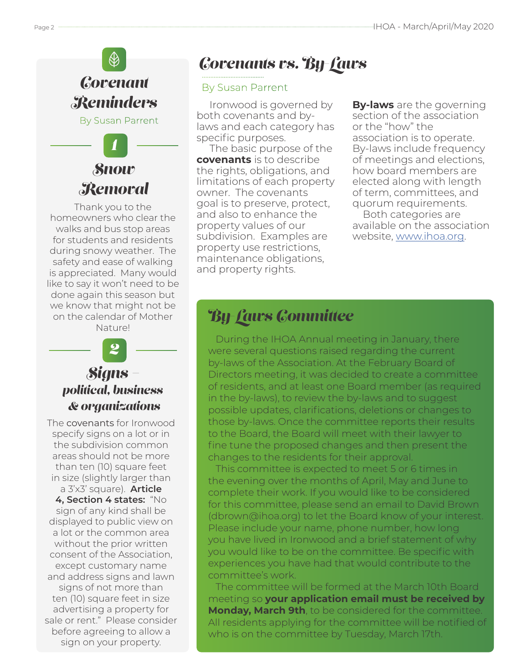# *Covenant Reminders* By Susan Parrent

*Snow Removal 1*

Thank you to the homeowners who clear the walks and bus stop areas for students and residents during snowy weather. The safety and ease of walking is appreciated. Many would like to say it won't need to be done again this season but we know that might not be on the calendar of Mother Nature!

## *Signs – political, business & organizations 2*

The covenants for Ironwood specify signs on a lot or in the subdivision common areas should not be more than ten (10) square feet in size (slightly larger than a 3'x3' square). **Article 4, Section 4 states:** "No sign of any kind shall be displayed to public view on a lot or the common area without the prior written consent of the Association, except customary name and address signs and lawn signs of not more than ten (10) square feet in size advertising a property for sale or rent." Please consider before agreeing to allow a sign on your property.

# *Covenants vs. By-Laws*

### By Susan Parrent

 Ironwood is governed by both covenants and bylaws and each category has specific purposes.

 The basic purpose of the **covenants** is to describe the rights, obligations, and limitations of each property owner. The covenants goal is to preserve, protect, and also to enhance the property values of our subdivision. Examples are property use restrictions, maintenance obligations, and property rights.

**By-laws** are the governing section of the association or the "how" the association is to operate. By-laws include frequency of meetings and elections, how board members are elected along with length of term, committees, and quorum requirements. Both categories are

available on the association website, www.ihoa.org.

## *By-Laws Committee*

 During the IHOA Annual meeting in January, there were several questions raised regarding the current by-laws of the Association. At the February Board of Directors meeting, it was decided to create a committee of residents, and at least one Board member (as required in the by-laws), to review the by-laws and to suggest possible updates, clarifications, deletions or changes to those by-laws. Once the committee reports their results to the Board, the Board will meet with their lawyer to fine tune the proposed changes and then present the changes to the residents for their approval.

 This committee is expected to meet 5 or 6 times in the evening over the months of April, May and June to complete their work. If you would like to be considered for this committee, please send an email to David Brown (dbrown@ihoa.org) to let the Board know of your interest. Please include your name, phone number, how long you have lived in Ironwood and a brief statement of why you would like to be on the committee. Be specific with experiences you have had that would contribute to the committee's work.

 The committee will be formed at the March 10th Board meeting so **your application email must be received by Monday, March 9th**, to be considered for the committee. All residents applying for the committee will be notified of who is on the committee by Tuesday, March 17th.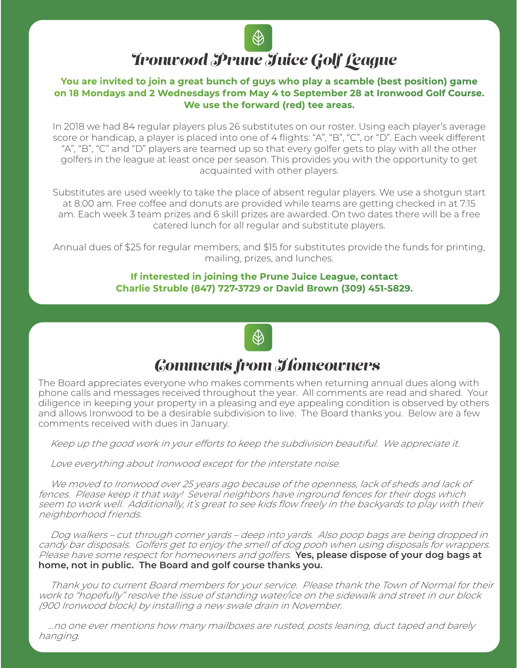# January 2020 - Green Concept Page 3

# *Ironwood Prune Juice Golf League*

### **You are invited to join a great bunch of guys who play a scamble (best position) game on 18 Mondays and 2 Wednesdays from May 4 to September 28 at Ironwood Golf Course. We use the forward (red) tee areas.**

In 2018 we had 84 regular players plus 26 substitutes on our roster. Using each player's average score or handicap, a player is placed into one of 4 flights: "A", "B", "C", or "D". Each week different "A", "B", "C" and "D" players are teamed up so that every golfer gets to play with all the other golfers in the league at least once per season. This provides you with the opportunity to get acquainted with other players.

Substitutes are used weekly to take the place of absent regular players. We use a shotgun start at 8:00 am. Free coffee and donuts are provided while teams are getting checked in at 7:15 am. Each week 3 team prizes and 6 skill prizes are awarded. On two dates there will be a free catered lunch for all regular and substitute players.

Annual dues of \$25 for regular members, and \$15 for substitutes provide the funds for printing, mailing, prizes, and lunches.

> **If interested in joining the Prune Juice League, contact Charlie Struble (847) 727-3729 or David Brown (309) 451-5829.**



## *Comments from Homeowners*

The Board appreciates everyone who makes comments when returning annual dues along with phone calls and messages received throughout the year. All comments are read and shared. Your diligence in keeping your property in a pleasing and eye appealing condition is observed by others and allows Ironwood to be a desirable subdivision to live. The Board thanks you. Below are a few comments received with dues in January.

Keep up the good work in your efforts to keep the subdivision beautiful. We appreciate it.

Love everything about Ironwood except for the interstate noise.

 We moved to Ironwood over 25 years ago because of the openness, lack of sheds and lack of fences. Please keep it that way! Several neighbors have inground fences for their dogs which seem to work well. Additionally, it's great to see kids flow freely in the backyards to play with their neighborhood friends.

 Dog walkers – cut through corner yards – deep into yards. Also poop bags are being dropped in candy bar disposals. Golfers get to enjoy the smell of dog pooh when using disposals for wrappers. Please have some respect for homeowners and golfers. **Yes, please dispose of your dog bags at home, not in public. The Board and golf course thanks you.**

 Thank you to current Board members for your service. Please thank the Town of Normal for their work to "hopefully" resolve the issue of standing water/ice on the sidewalk and street in our block (900 Ironwood block) by installing a new swale drain in November.

 …no one ever mentions how many mailboxes are rusted, posts leaning, duct taped and barely hanging.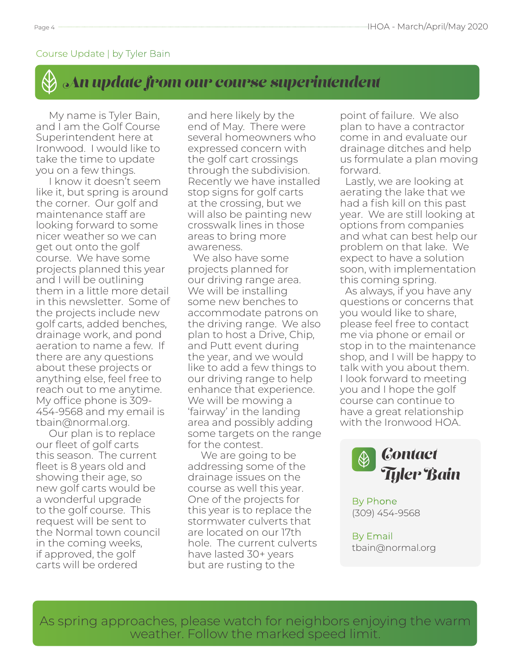### Course Update | by Tyler Bain

## *An update from our course superintendent*

 My name is Tyler Bain, and I am the Golf Course Superintendent here at Ironwood. I would like to take the time to update you on a few things.

 I know it doesn't seem like it, but spring is around the corner. Our golf and maintenance staff are looking forward to some nicer weather so we can get out onto the golf course. We have some projects planned this year and I will be outlining them in a little more detail in this newsletter. Some of the projects include new golf carts, added benches, drainage work, and pond aeration to name a few. If there are any questions about these projects or anything else, feel free to reach out to me anytime. My office phone is 309- 454-9568 and my email is tbain@normal.org.

 Our plan is to replace our fleet of golf carts this season. The current fleet is 8 years old and showing their age, so new golf carts would be a wonderful upgrade to the golf course. This request will be sent to the Normal town council in the coming weeks, if approved, the golf carts will be ordered

and here likely by the end of May. There were several homeowners who expressed concern with the golf cart crossings through the subdivision. Recently we have installed stop signs for golf carts at the crossing, but we will also be painting new crosswalk lines in those areas to bring more awareness.

 We also have some projects planned for our driving range area. We will be installing some new benches to accommodate patrons on the driving range. We also plan to host a Drive, Chip, and Putt event during the year, and we would like to add a few things to our driving range to help enhance that experience. We will be mowing a 'fairway' in the landing area and possibly adding some targets on the range for the contest.

 We are going to be addressing some of the drainage issues on the course as well this year. One of the projects for this year is to replace the stormwater culverts that are located on our 17th hole. The current culverts have lasted 30+ years but are rusting to the

point of failure. We also plan to have a contractor come in and evaluate our drainage ditches and help us formulate a plan moving forward.

 Lastly, we are looking at aerating the lake that we had a fish kill on this past year. We are still looking at options from companies and what can best help our problem on that lake. We expect to have a solution soon, with implementation this coming spring.

 As always, if you have any questions or concerns that you would like to share, please feel free to contact me via phone or email or stop in to the maintenance shop, and I will be happy to talk with you about them. I look forward to meeting you and I hope the golf course can continue to have a great relationship with the Ironwood HOA.



By Phone (309) 454-9568

By Email tbain@normal.org

As spring approaches, please watch for neighbors enjoying the warm weather. Follow the marked speed limit.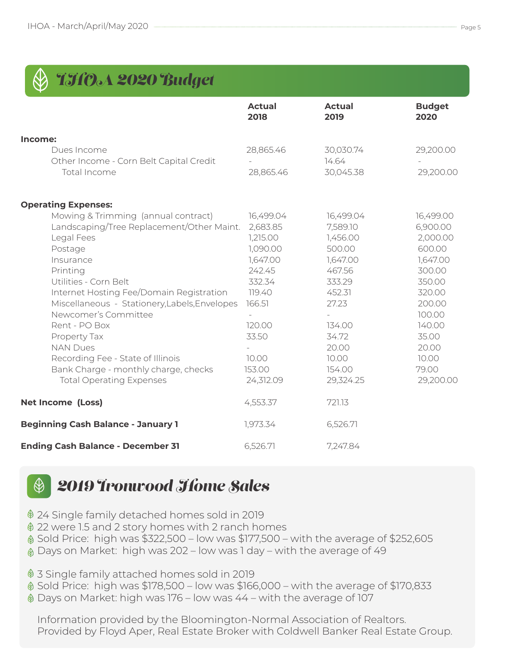| THO&A 2020 Budget                                                                                                                                                                                                                                                                                                                                                                                                                                    |                                                                                                                                                      |                                                                                                                                                            |                                                                                                                                                                      |
|------------------------------------------------------------------------------------------------------------------------------------------------------------------------------------------------------------------------------------------------------------------------------------------------------------------------------------------------------------------------------------------------------------------------------------------------------|------------------------------------------------------------------------------------------------------------------------------------------------------|------------------------------------------------------------------------------------------------------------------------------------------------------------|----------------------------------------------------------------------------------------------------------------------------------------------------------------------|
|                                                                                                                                                                                                                                                                                                                                                                                                                                                      | <b>Actual</b><br>2018                                                                                                                                | <b>Actual</b><br>2019                                                                                                                                      | <b>Budget</b><br>2020                                                                                                                                                |
| Income:                                                                                                                                                                                                                                                                                                                                                                                                                                              |                                                                                                                                                      |                                                                                                                                                            |                                                                                                                                                                      |
| Dues Income<br>Other Income - Corn Belt Capital Credit<br>Total Income                                                                                                                                                                                                                                                                                                                                                                               | 28,865.46<br>28,865.46                                                                                                                               | 30,030.74<br>14.64<br>30,045.38                                                                                                                            | 29,200.00<br>29,200.00                                                                                                                                               |
| <b>Operating Expenses:</b>                                                                                                                                                                                                                                                                                                                                                                                                                           |                                                                                                                                                      |                                                                                                                                                            |                                                                                                                                                                      |
| Mowing & Trimming (annual contract)<br>Landscaping/Tree Replacement/Other Maint.<br>Legal Fees<br>Postage<br>Insurance<br>Printing<br>Utilities - Corn Belt<br>Internet Hosting Fee/Domain Registration<br>Miscellaneous - Stationery, Labels, Envelopes<br>Newcomer's Committee<br>Rent - PO Box<br>Property Tax<br><b>NAN Dues</b><br>Recording Fee - State of Illinois<br>Bank Charge - monthly charge, checks<br><b>Total Operating Expenses</b> | 16,499.04<br>2,683.85<br>1,215.00<br>1,090.00<br>1,647.00<br>242.45<br>332.34<br>119.40<br>166.51<br>120.00<br>33.50<br>10.00<br>153.00<br>24,312.09 | 16,499.04<br>7,589.10<br>1,456.00<br>500.00<br>1,647.00<br>467.56<br>333.29<br>452.31<br>27.23<br>134.00<br>34.72<br>20.00<br>10.00<br>154.00<br>29,324.25 | 16,499.00<br>6,900.00<br>2,000.00<br>600.00<br>1,647.00<br>300.00<br>350.00<br>320.00<br>200.00<br>100.00<br>140.00<br>35.00<br>20.00<br>10.00<br>79.00<br>29,200.00 |
| <b>Net Income (Loss)</b>                                                                                                                                                                                                                                                                                                                                                                                                                             | 4,553.37                                                                                                                                             | 721.13                                                                                                                                                     |                                                                                                                                                                      |
| <b>Beginning Cash Balance - January 1</b>                                                                                                                                                                                                                                                                                                                                                                                                            | 1,973.34                                                                                                                                             | 6,526.71                                                                                                                                                   |                                                                                                                                                                      |
| <b>Ending Cash Balance - December 31</b>                                                                                                                                                                                                                                                                                                                                                                                                             | 6,526.71                                                                                                                                             | 7,247.84                                                                                                                                                   |                                                                                                                                                                      |

#### *2019 Ironwood Home Sales*  $\bigcircledast$

24 Single family detached homes sold in 2019

- 22 were 1.5 and 2 story homes with 2 ranch homes
- Sold Price: high was \$322,500 low was \$177,500 with the average of \$252,605
- Days on Market: high was 202 low was 1 day with the average of 49
- 3 Single family attached homes sold in 2019
- $\textcircled{}$  Sold Price: high was \$178,500 low was \$166,000 with the average of \$170,833
- Days on Market: high was 176 low was 44 with the average of 107

Information provided by the Bloomington-Normal Association of Realtors. Provided by Floyd Aper, Real Estate Broker with Coldwell Banker Real Estate Group.